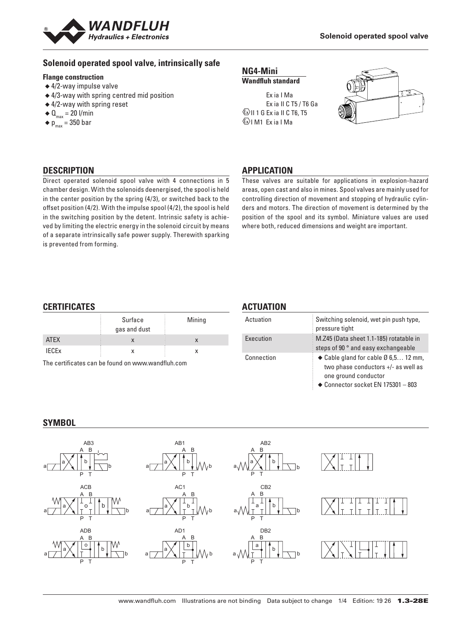

# **Solenoid operated spool valve, intrinsically safe**

#### **Flange construction**

- ◆ 4/2-way impulse valve
- ◆ 4/3-way with spring centred mid position
- ◆ 4/2-way with spring reset
- $\triangleleft$  Q<sub>max</sub> = 20 l/min
- $\bullet$  p<sub>max</sub> = 350 bar

#### **NG4-Mini Wandfluh standard**

 Ex ia I Ma Ex ia II C T5 / T6 Ga  $\langle x \rangle$ II 1 G Ex ia II C T6, T5  $\langle x \rangle$ I M1 Fx ia I Ma



# **DESCRIPTION**

Direct operated solenoid spool valve with 4 connections in 5 chamber design. With the solenoids deenergised, the spool is held in the center position by the spring (4/3), or switched back to the offset position (4/2). With the impulse spool (4/2), the spool is held in the switching position by the detent. Intrinsic safety is achieved by limiting the electric energy in the solenoid circuit by means of a separate intrinsically safe power supply. Therewith sparking is prevented from forming.

# **APPLICATION**

These valves are suitable for applications in explosion-hazard areas, open cast and also in mines. Spool valves are mainly used for controlling direction of movement and stopping of hydraulic cylinders and motors. The direction of movement is determined by the position of the spool and its symbol. Miniature values are used where both, reduced dimensions and weight are important.

# **CERTIFICATES**

|                         | Surface<br>gas and dust | Mining |
|-------------------------|-------------------------|--------|
| <b>ATEX</b>             |                         |        |
| <b>IECE<sub>x</sub></b> |                         |        |

The certificates can be found on www.wandfluh.com

# **ACTUATION**

| Actuation  | Switching solenoid, wet pin push type,<br>pressure tight                                                                                                      |
|------------|---------------------------------------------------------------------------------------------------------------------------------------------------------------|
| Execution  | M.Z45 (Data sheet 1.1-185) rotatable in<br>steps of 90 ° and easy exchangeable                                                                                |
| Connection | $\bullet$ Cable gland for cable $\emptyset$ 6.5 12 mm,<br>two phase conductors $+/-$ as well as<br>one ground conductor<br>◆ Connector socket EN 175301 - 803 |

#### **SYMBOL**

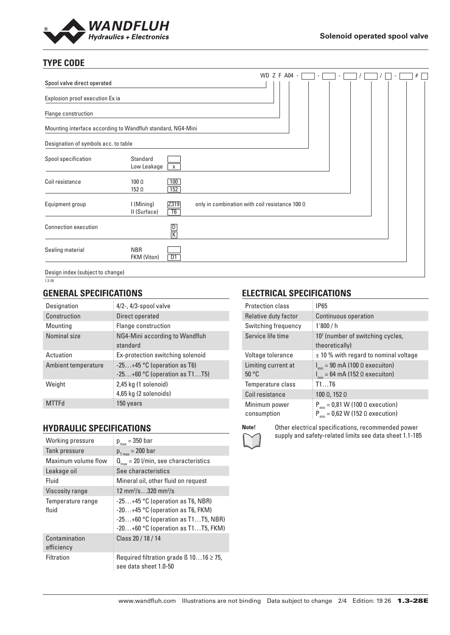

# **TYPE CODE**

|                                                             |                            |                |                                                       | WD Z F A04 - |  | $\overline{\phantom{a}}$ |  |  | # |
|-------------------------------------------------------------|----------------------------|----------------|-------------------------------------------------------|--------------|--|--------------------------|--|--|---|
| Spool valve direct operated                                 |                            |                |                                                       |              |  |                          |  |  |   |
| Explosion proof execution Ex ia                             |                            |                |                                                       |              |  |                          |  |  |   |
| Flange construction                                         |                            |                |                                                       |              |  |                          |  |  |   |
| Mounting interface according to Wandfluh standard, NG4-Mini |                            |                |                                                       |              |  |                          |  |  |   |
| Designation of symbols acc. to table                        |                            |                |                                                       |              |  |                          |  |  |   |
| Spool specification                                         | Standard<br>Low Leakage    | $\mathsf{X}^-$ |                                                       |              |  |                          |  |  |   |
| Coil resistance                                             | 100 Ω<br>$152 \Omega$      | 100<br>152     |                                                       |              |  |                          |  |  |   |
| Equipment group                                             | I (Mining)<br>II (Surface) | Z319<br>T6     | only in combination with coil resistance 100 $\Omega$ |              |  |                          |  |  |   |
| <b>Connection execution</b>                                 |                            | $\frac{D}{K}$  |                                                       |              |  |                          |  |  |   |
| Sealing material                                            | <b>NBR</b><br>FKM (Viton)  | D1             |                                                       |              |  |                          |  |  |   |
| Design index (subject to change)                            |                            |                |                                                       |              |  |                          |  |  |   |

1.3-28

# **GENERAL SPECIFICATIONS**

| Designation         | $4/2$ -, $4/3$ -spool valve                                      |
|---------------------|------------------------------------------------------------------|
| Construction        | Direct operated                                                  |
| Mounting            | Flange construction                                              |
| Nominal size        | NG4-Mini according to Wandfluh<br>standard                       |
| Actuation           | Ex-protection switching solenoid                                 |
| Ambient temperature | $-25+45$ °C (operation as T6)<br>$-25+60$ °C (operation as T1T5) |
| Weight              | 2,45 kg (1 solenoid)<br>4,65 kg (2 solenoids)                    |
|                     | 150 vears                                                        |

# **HYDRAULIC SPECIFICATIONS**

| Working pressure            | $p_{max}$ = 350 bar                                                                                                                                      |
|-----------------------------|----------------------------------------------------------------------------------------------------------------------------------------------------------|
| Tank pressure               | $p_{T_{max}} = 200$ bar                                                                                                                                  |
| Maximum volume flow         | $Q_{\text{max}} = 20$ l/min, see characteristics                                                                                                         |
| Leakage oil                 | See characteristics                                                                                                                                      |
| Fluid                       | Mineral oil, other fluid on request                                                                                                                      |
| <b>Viscosity range</b>      | 12 mm <sup>2</sup> /s320 mm <sup>2</sup> /s                                                                                                              |
| Temperature range<br>fluid  | $-25+45$ °C (operation as T6, NBR)<br>$-20+45$ °C (operation as T6, FKM)<br>$-25+60$ °C (operation as T1T5, NBR)<br>$-20+60$ °C (operation as T1T5, FKM) |
| Contamination<br>efficiency | Class 20 / 18 / 14                                                                                                                                       |
| Filtration                  | Required filtration grade $\beta$ 1016 $\geq$ 75,<br>see data sheet 1.0-50                                                                               |

# **ELECTRICAL SPECIFICATIONS**

| Protection class             | <b>IP65</b>                                                                                      |
|------------------------------|--------------------------------------------------------------------------------------------------|
| Relative duty factor         | <b>Continuous operation</b>                                                                      |
| Switching frequency          | 1'800/h                                                                                          |
| Service life time            | $107$ (number of switching cycles,<br>theoretically)                                             |
| Voltage tolerance            | $\pm$ 10 % with regard to nominal voltage                                                        |
| Limiting current at<br>50 °C | $I_{min}$ = 90 mA (100 $\Omega$ execuiton)<br>$I_{min} = 64 \text{ mA}$ (152 $\Omega$ execuiton) |
| Temperature class            | T1T6                                                                                             |
| Coil resistance              | $100 \Omega$ , 152 $\Omega$                                                                      |
| Minimum power<br>consumption | $P_{min} = 0.81$ W (100 $\Omega$ execution)<br>$P_{min} = 0.62$ W (152 $\Omega$ execution)       |



**Note!** Other electrical specifications, recommended power supply and safety-related limits see data sheet 1.1-185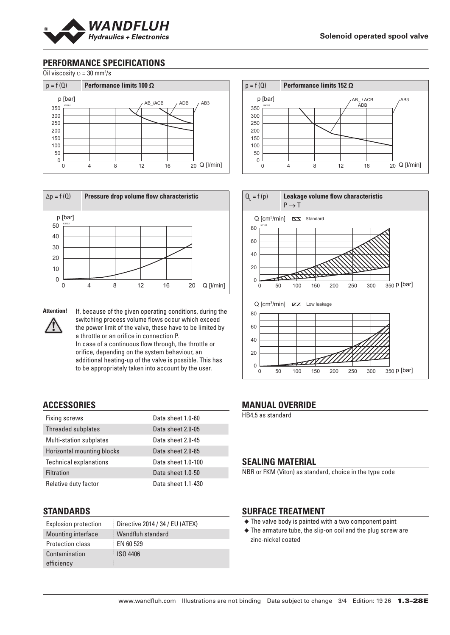

# **PERFORMANCE SPECIFICATIONS**









**Attention!** If, because of the given operating conditions, during the switching process volume flows occur which exceed the power limit of the valve, these have to be limited by a throttle or an orifice in connection P. In case of a continuous flow through, the throttle or orifice, depending on the system behaviour, an

additional heating-up of the valve is possible. This has to be appropriately taken into account by the user.

# **ACCESSORIES**

| Fixing screws                  | Data sheet 1.0-60  |
|--------------------------------|--------------------|
| Threaded subplates             | Data sheet 2.9-05  |
| <b>Multi-station subplates</b> | Data sheet 2.9-45  |
| Horizontal mounting blocks     | Data sheet 2.9-85  |
| <b>Technical explanations</b>  | Data sheet 1.0-100 |
| Filtration                     | Data sheet 1.0-50  |
| Relative duty factor           | Data sheet 1.1-430 |

# **STANDARDS**

| <b>Explosion protection</b> | Directive 2014 / 34 / EU (ATEX) |
|-----------------------------|---------------------------------|
| <b>Mounting interface</b>   | Wandfluh standard               |
| Protection class            | EN 60 529                       |
| Contamination<br>efficiency | <b>ISO 4406</b>                 |





#### **MANUAL OVERRIDE**

HB4,5 as standard

# **SEALING MATERIAL**

NBR or FKM (Viton) as standard, choice in the type code

# **SURFACE TREATMENT**

- ◆ The valve body is painted with a two component paint
- ◆ The armature tube, the slip-on coil and the plug screw are zinc-nickel coated